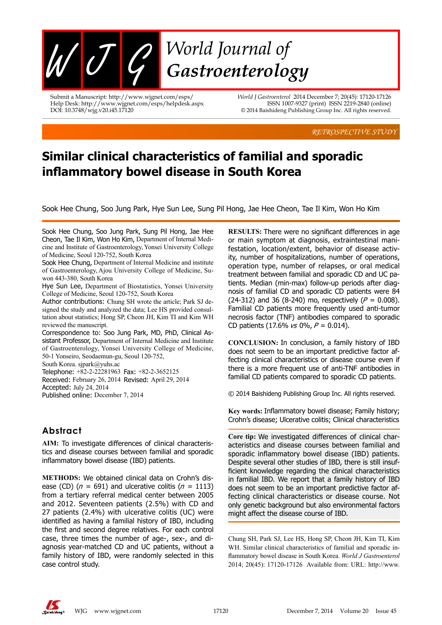

Submit a Manuscript: http://www.wjgnet.com/esps/ Help Desk: http://www.wjgnet.com/esps/helpdesk.aspx DOI: 10.3748/wjg.v20.i45.17120

*World J Gastroenterol* 2014 December 7; 20(45): 17120-17126 ISSN 1007-9327 (print) ISSN 2219-2840 (online) © 2014 Baishideng Publishing Group Inc. All rights reserved.

*RETROSPECTIVE STUDY*

# **Similar clinical characteristics of familial and sporadic inflammatory bowel disease in South Korea**

Sook Hee Chung, Soo Jung Park, Hye Sun Lee, Sung Pil Hong, Jae Hee Cheon, Tae Il Kim, Won Ho Kim

Sook Hee Chung, Soo Jung Park, Sung Pil Hong, Jae Hee Cheon, Tae Il Kim, Won Ho Kim, Department of Internal Medicine and Institute of Gastroenterology,Yonsei University College of Medicine, Seoul 120-752, South Korea

Sook Hee Chung, Department of Internal Medicine and institute of Gastroenterology, Ajou University College of Medicine, Suwon 443-380, South Korea

Hye Sun Lee, Department of Biostatistics, Yonsei University College of Medicine, Seoul 120-752, South Korea

Author contributions: Chung SH wrote the article; Park SJ designed the study and analyzed the data; Lee HS provided consultation about statistics; Hong SP, Cheon JH, Kim TI and Kim WH reviewed the manuscript.

Correspondence to: Soo Jung Park, MD, PhD, Clinical Assistant Professor, Department of Internal Medicine and Institute of Gastroenterology, Yonsei University College of Medicine, 50-1 Yonseiro, Seodaemun-gu, Seoul 120-752,

South Korea. sjpark@yuhs.ac

Telephone: +82-2-22281963 Fax: +82-2-3652125 Received: February 26, 2014 Revised: April 29, 2014 Accepted: July 24, 2014 Published online: December 7, 2014

## **Abstract**

**AIM:** To investigate differences of clinical characteristics and disease courses between familial and sporadic inflammatory bowel disease (IBD) patients.

**METHODS:** We obtained clinical data on Crohn's disease (CD) ( $n = 691$ ) and ulcerative colitis ( $n = 1113$ ) from a tertiary referral medical center between 2005 and 2012. Seventeen patients (2.5%) with CD and 27 patients (2.4%) with ulcerative colitis (UC) were identified as having a familial history of IBD, including the first and second degree relatives. For each control case, three times the number of age-, sex-, and diagnosis year-matched CD and UC patients, without a family history of IBD, were randomly selected in this case control study.

**RESULTS:** There were no significant differences in age or main symptom at diagnosis, extraintestinal manifestation, location/extent, behavior of disease activity, number of hospitalizations, number of operations, operation type, number of relapses, or oral medical treatment between familial and sporadic CD and UC patients. Median (min-max) follow-up periods after diagnosis of familial CD and sporadic CD patients were 84 (24-312) and 36 (8-240) mo, respectively ( $P = 0.008$ ). Familial CD patients more frequently used anti-tumor necrosis factor (TNF) antibodies compared to sporadic CD patients (17.6%  $\sqrt{s}$  0%,  $P = 0.014$ ).

**CONCLUSION:** In conclusion, a family history of IBD does not seem to be an important predictive factor affecting clinical characteristics or disease course even if there is a more frequent use of anti-TNF antibodies in familial CD patients compared to sporadic CD patients.

© 2014 Baishideng Publishing Group Inc. All rights reserved.

**Key words:** Inflammatory bowel disease; Family history; Crohn's disease; Ulcerative colitis; Clinical characteristics

**Core tip:** We investigated differences of clinical characteristics and disease courses between familial and sporadic inflammatory bowel disease (IBD) patients. Despite several other studies of IBD, there is still insufficient knowledge regarding the clinical characteristics in familial IBD. We report that a family history of IBD does not seem to be an important predictive factor affecting clinical characteristics or disease course. Not only genetic background but also environmental factors might affect the disease course of IBD.

Chung SH, Park SJ, Lee HS, Hong SP, Cheon JH, Kim TI, Kim WH. Similar clinical characteristics of familial and sporadic inflammatory bowel disease in South Korea. *World J Gastroenterol* 2014; 20(45): 17120-17126 Available from: URL: http://www.

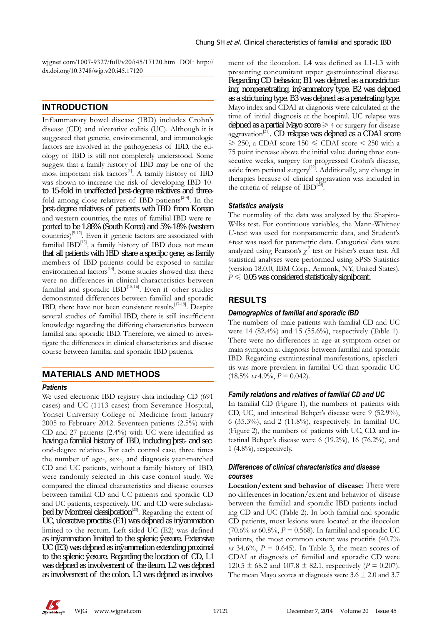wjgnet.com/1007-9327/full/v20/i45/17120.htm DOI: http:// dx.doi.org/10.3748/wjg.v20.i45.17120

## **INTRODUCTION**

Inflammatory bowel disease (IBD) includes Crohn's disease (CD) and ulcerative colitis (UC). Although it is suggested that genetic, environmental, and immunologic factors are involved in the pathogenesis of IBD, the etiology of IBD is still not completely understood. Some suggest that a family history of IBD may be one of the most important risk factors<sup>[1]</sup>. A family history of IBD was shown to increase the risk of developing IBD 10 to 15-fold in unaffected first-degree relatives and threefold among close relatives of IBD patients<sup>[2-4]</sup>. In the f rst-degree relatives of patients with IBD from Korean and western countries, the rates of familial IBD were reported to be 1.88% (South Korea) and 5%-18% (western  $countries$ <sup>[5-12]</sup>. Even if genetic factors are associated with familial  $IBD<sup>[13]</sup>$ , a family history of IBD does not mean that all patients with IBD share a specific gene, as family members of IBD patients could be exposed to similar environmental factors<sup>[14]</sup>. Some studies showed that there were no differences in clinical characteristics between familial and sporadic  $IBD^{[15,16]}$ . Even if other studies demonstrated differences between familial and sporadic IBD, there have not been consistent results $^{[17-19]}$ . Despite several studies of familial IBD, there is still insufficient knowledge regarding the differing characteristics between familial and sporadic IBD. Therefore, we aimed to investigate the differences in clinical characteristics and disease course between familial and sporadic IBD patients.

## **MATERIALS AND METHODS**

#### *Patients*

We used electronic IBD registry data including CD (691 cases) and UC (1113 cases) from Severance Hospital, Yonsei University College of Medicine from January 2005 to February 2012. Seventeen patients (2.5%) with CD and 27 patients (2.4%) with UC were identified as having a familial history of IBD, including f rst- and second-degree relatives. For each control case, three times the number of age-, sex-, and diagnosis year-matched CD and UC patients, without a family history of IBD, were randomly selected in this case control study. We compared the clinical characteristics and disease courses between familial CD and UC patients and sporadic CD and UC patients, respectively. UC and CD were subclassif ed by Montreal classification<sup>[20]</sup>. Regarding the extent of UC, ulcerative proctitis  $(E1)$  was defined as inflammation limited to the rectum. Left-sided UC (E2) was defined as inflammation limited to the splenic flexure. Extensive UC (E3) was defined as inflammation extending proximal to the splenic f exure. Regarding the location of CD, L1 was defined as involvement of the ileum. L2 was defined as involvement of the colon. L3 was defined as involvement of the ileocolon. L4 was defined as L1-L3 with presenting concomitant upper gastrointestinal disease. Regarding CD behavior, B1 was defined as a nonstricturing, nonpenetrating, inflammatory type. B2 was defined as a stricturing type. B3 was defined as a penetrating type. Mayo index and CDAI at diagnosis were calculated at the time of initial diagnosis at the hospital. UC relapse was defined as a partial Mayo score  $\geq 4$  or surgery for disease aggravation<sup>[21]</sup>. CD relapse was defined as a CDAI score  $\geq$  250, a CDAI score 150  $\leq$  CDAI score  $\leq$  250 with a 75 point increase above the initial value during three consecutive weeks, surgery for progressed Crohn's disease, aside from perianal surgery<sup>[22]</sup>. Additionally, any change in therapies because of clinical aggravation was included in the criteria of relapse of  $IBD^{[23]}.$ 

#### *Statistics analysis*

The normality of the data was analyzed by the Shapiro-Wilks test. For continuous variables, the Mann-Whitney *U*-test was used for nonparametric data, and Student's *t*-test was used for parametric data. Categorical data were analyzed using Pearson's  $\chi^2$  test or Fisher's exact test. All statistical analyses were performed using SPSS Statistics (version 18.0.0, IBM Corp., Armonk, NY, United States).  $P \leq Q$  0.05 was considered statistically significant.

## **RESULTS**

#### *Demographics of familial and sporadic IBD*

The numbers of male patients with familial CD and UC were 14 (82.4%) and 15 (55.6%), respectively (Table 1). There were no differences in age at symptom onset or main symptom at diagnosis between familial and sporadic IBD. Regarding extraintestinal manifestations, episcleritis was more prevalent in familial UC than sporadic UC  $(18.5\% \text{ vs } 4.9\%, P = 0.042).$ 

#### *Family relations and relatives of familial CD and UC*

In familial CD (Figure 1), the numbers of patients with CD, UC, and intestinal Behçet's disease were 9 (52.9%), 6 (35.3%), and 2 (11.8%), respectively. In familial UC (Figure 2), the numbers of patients with UC, CD, and intestinal Behçet's disease were 6 (19.2%), 16 (76.2%), and 1 (4.8%), respectively.

#### *Differences of clinical characteristics and disease courses*

**Location/extent and behavior of disease:** There were no differences in location/extent and behavior of disease between the familial and sporadic IBD patients including CD and UC (Table 2). In both familial and sporadic CD patients, most lesions were located at the ileocolon (70.6% *vs* 60.8%, *P* = 0.568). In familial and sporadic UC patients, the most common extent was proctitis (40.7%) *vs* 34.6%,  $P = 0.645$ . In Table 3, the mean scores of CDAI at diagnosis of familial and sporadic CD were 120.5  $\pm$  68.2 and 107.8  $\pm$  82.1, respectively (*P* = 0.207). The mean Mayo scores at diagnosis were  $3.6 \pm 2.0$  and  $3.7$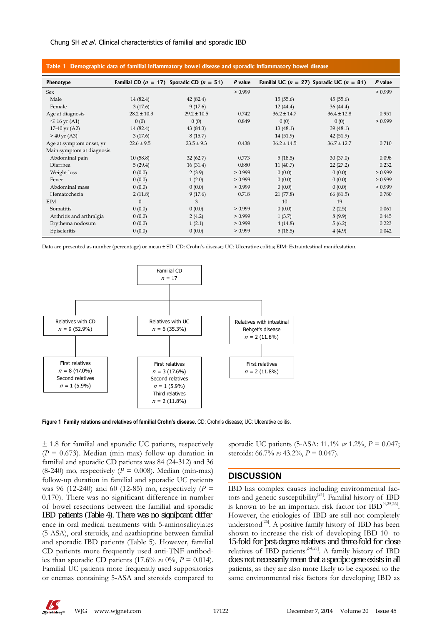#### Chung SH *et al*. Clinical characteristics of familial and sporadic IBD

| Table 1 Demographic data of familial inflammatory bowel disease and sporadic inflammatory bowel disease |                 |                                                   |           |                 |                                                   |           |  |  |
|---------------------------------------------------------------------------------------------------------|-----------------|---------------------------------------------------|-----------|-----------------|---------------------------------------------------|-----------|--|--|
| <b>Phenotype</b>                                                                                        |                 | Familial CD ( $n = 17$ ) Sporadic CD ( $n = 51$ ) | $P$ value |                 | Familial UC ( $n = 27$ ) Sporadic UC ( $n = 81$ ) | $P$ value |  |  |
| Sex                                                                                                     |                 |                                                   | > 0.999   |                 |                                                   | > 0.999   |  |  |
| Male                                                                                                    | 14 (82.4)       | 42 (82.4)                                         |           | 15(55.6)        | 45(55.6)                                          |           |  |  |
| Female                                                                                                  | 3(17.6)         | 9(17.6)                                           |           | 12(44.4)        | 36(44.4)                                          |           |  |  |
| Age at diagnosis                                                                                        | $28.2 \pm 10.3$ | $29.2 \pm 10.5$                                   | 0.742     | $36.2 \pm 14.7$ | $36.4 \pm 12.8$                                   | 0.951     |  |  |
| $\leq 16$ yr (A1)                                                                                       | 0(0)            | 0(0)                                              | 0.849     | 0(0)            | 0(0)                                              | > 0.999   |  |  |
| 17-40 yr $(A2)$                                                                                         | 14 (82.4)       | 43 (84.3)                                         |           | 13(48.1)        | 39(48.1)                                          |           |  |  |
| $> 40 \,\text{yr} \,(\text{A}3)$                                                                        | 3(17.6)         | 8(15.7)                                           |           | 14(51.9)        | 42(51.9)                                          |           |  |  |
| Age at symptom onset, yr                                                                                | $22.6 \pm 9.5$  | $23.5 \pm 9.3$                                    | 0.438     | $36.2 \pm 14.5$ | $36.7 \pm 12.7$                                   | 0.710     |  |  |
| Main symptom at diagnosis                                                                               |                 |                                                   |           |                 |                                                   |           |  |  |
| Abdominal pain                                                                                          | 10(58.8)        | 32(62.7)                                          | 0.773     | 5(18.5)         | 30(37.0)                                          | 0.098     |  |  |
| Diarrhea                                                                                                | 5(29.4)         | 16(31.4)                                          | 0.880     | 11(40.7)        | 22(27.2)                                          | 0.232     |  |  |
| Weight loss                                                                                             | 0(0.0)          | 2(3.9)                                            | > 0.999   | 0(0.0)          | 0(0.0)                                            | > 0.999   |  |  |
| Fever                                                                                                   | 0(0.0)          | 1(2.0)                                            | > 0.999   | 0(0.0)          | 0(0.0)                                            | > 0.999   |  |  |
| Abdominal mass                                                                                          | 0(0.0)          | 0(0.0)                                            | > 0.999   | 0(0.0)          | 0(0.0)                                            | > 0.999   |  |  |
| Hematochezia                                                                                            | 2(11.8)         | 9(17.6)                                           | 0.718     | 21(77.8)        | 66 (81.5)                                         | 0.780     |  |  |
| <b>EIM</b>                                                                                              | $\mathbf{0}$    | 3                                                 |           | 10              | 19                                                |           |  |  |
| Somatitis                                                                                               | 0(0.0)          | 0(0.0)                                            | > 0.999   | 0(0.0)          | 2(2.5)                                            | 0.061     |  |  |
| Arthritis and arthralgia                                                                                | 0(0.0)          | 2(4.2)                                            | > 0.999   | 1(3.7)          | 8(9.9)                                            | 0.445     |  |  |
| Erythema nodosum                                                                                        | 0(0.0)          | 1(2.1)                                            | > 0.999   | 4(14.8)         | 5(6.2)                                            | 0.223     |  |  |
| Episcleritis                                                                                            | 0(0.0)          | 0(0.0)                                            | > 0.999   | 5(18.5)         | 4(4.9)                                            | 0.042     |  |  |

Data are presented as number (percentage) or mean ± SD. CD: Crohn's disease; UC: Ulcerative colitis; EIM: Extraintestinal manifestation.



**Figure 1 Family relations and relatives of familial Crohn's disease.** CD: Crohn's disease; UC: Ulcerative colitis.

± 1.8 for familial and sporadic UC patients, respectively  $(P = 0.673)$ . Median (min-max) follow-up duration in familial and sporadic CD patients was 84 (24-312) and 36  $(8-240)$  mo, respectively  $(P = 0.008)$ . Median (min-max) follow-up duration in familial and sporadic UC patients was 96 (12-240) and 60 (12-85) mo, respectively (*P* = 0.170). There was no significant difference in number of bowel resections between the familial and sporadic IBD patients (Table 4). There was no significant difference in oral medical treatments with 5-aminosalicylates (5-ASA), oral steroids, and azathioprine between familial and sporadic IBD patients (Table 5). However, familial CD patients more frequently used anti-TNF antibodies than sporadic CD patients (17.6% *vs* 0%,  $P = 0.014$ ). Familial UC patients more frequently used suppositories or enemas containing 5-ASA and steroids compared to sporadic UC patients (5-ASA: 11.1% *vs* 1.2%, *P* = 0.047; steroids: 66.7% *vs* 43.2%, *P* = 0.047).

### **DISCUSSION**

IBD has complex causes including environmental factors and genetic susceptibility $^{[24]}$ . Familial history of IBD is known to be an important risk factor for  $IBD^{[4,25,26]}$ . However, the etiologies of IBD are still not completely understood<sup>[26]</sup>. A positive family history of IBD has been shown to increase the risk of developing IBD 10- to 15-fold for first-degree relatives and three-fold for close relatives of IBD patients<sup>[2-4,27]</sup>. A family history of IBD does not necessarily mean that a specific gene exists in all patients, as they are also more likely to be exposed to the same environmental risk factors for developing IBD as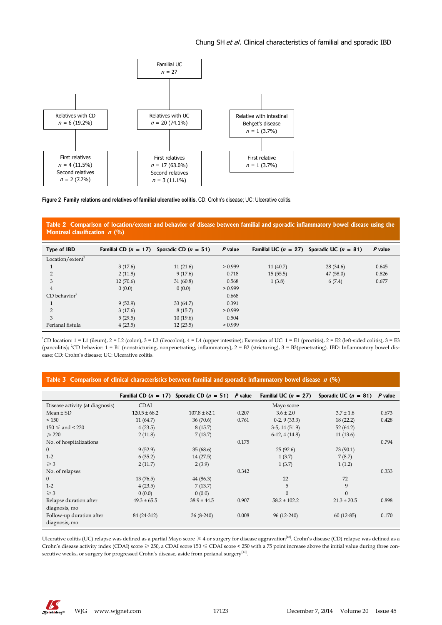#### Chung SH et al. Clinical characteristics of familial and sporadic IBD



**Figure 2 Family relations and relatives of familial ulcerative colitis.** CD: Crohn's disease; UC: Ulcerative colitis.

**Table 2 Comparison of location/extent and behavior of disease between familial and sporadic inflammatory bowel disease using the Montreal classification n (%)**

| Type of IBD                |          | Familial CD ( $n = 17$ ) Sporadic CD ( $n = 51$ ) | $P$ value |          | Familial UC ( $n = 27$ ) Sporadic UC ( $n = 81$ ) | $P$ value |
|----------------------------|----------|---------------------------------------------------|-----------|----------|---------------------------------------------------|-----------|
| Location/extent            |          |                                                   |           |          |                                                   |           |
|                            | 3(17.6)  | 11(21.6)                                          | > 0.999   | 11(40.7) | 28(34.6)                                          | 0.645     |
|                            | 2(11.8)  | 9(17.6)                                           | 0.718     | 15(55.5) | 47(58.0)                                          | 0.826     |
| 3                          | 12(70.6) | 31(60.8)                                          | 0.568     | 1(3.8)   | 6(7.4)                                            | 0.677     |
| $\overline{4}$             | 0(0.0)   | 0(0.0)                                            | > 0.999   |          |                                                   |           |
| $CD$ behavior <sup>2</sup> |          |                                                   | 0.668     |          |                                                   |           |
|                            | 9(52.9)  | 33(64.7)                                          | 0.391     |          |                                                   |           |
|                            | 3(17.6)  | 8(15.7)                                           | > 0.999   |          |                                                   |           |
| 3                          | 5(29.5)  | 10(19.6)                                          | 0.504     |          |                                                   |           |
| Perianal fistula           | 4(23.5)  | 12(23.5)                                          | > 0.999   |          |                                                   |           |

<sup>1</sup>CD location: 1 = L1 (ileum), 2 = L2 (colon), 3 = L3 (ileocolon), 4 = L4 (upper intestine); Extension of UC: 1 = E1 (proctitis), 2 = E2 (left-sided colitis), 3 = E3 (pancolitis); <sup>2</sup>CD behavior: 1 = B1 (nonstricturing, nonpenetrating, inflammatory), 2 = B2 (stricturing), 3 = B3(penetrating). IBD: Inflammatory bowel disease; CD: Crohn's disease; UC: Ulcerative colitis.

|  | Table 3 Comparison of clinical characteristics between familial and sporadic inflammatory bowel disease $n$ (%) |  |  |
|--|-----------------------------------------------------------------------------------------------------------------|--|--|
|  |                                                                                                                 |  |  |

|                                 |                  | Familial CD ( $n = 17$ ) Sporadic CD ( $n = 51$ ) P value |       | Familial UC $(n = 27)$ | Sporadic UC $(n = 81)$ | P value |
|---------------------------------|------------------|-----------------------------------------------------------|-------|------------------------|------------------------|---------|
| Disease activity (at diagnosis) | <b>CDAI</b>      |                                                           |       | Mayo score             |                        |         |
| $Mean \pm SD$                   | $120.5 \pm 68.2$ | $107.8 \pm 82.1$                                          | 0.207 | $3.6 \pm 2.0$          | $3.7 \pm 1.8$          | 0.673   |
| < 150                           | 11(64.7)         | 36(70.6)                                                  | 0.761 | $0-2$ , 9 (33.3)       | 18(22.2)               | 0.428   |
| $150 \leq$ and $\leq 220$       | 4(23.5)          | 8(15.7)                                                   |       | $3-5$ , 14 (51.9)      | 52(64.2)               |         |
| $\geqslant$ 220                 | 2(11.8)          | 7(13.7)                                                   |       | $6-12, 4(14.8)$        | 11(13.6)               |         |
| No. of hospitalizations         |                  |                                                           | 0.175 |                        |                        | 0.794   |
| $\mathbf{0}$                    | 9(52.9)          | 35(68.6)                                                  |       | 25(92.6)               | 73 (90.1)              |         |
| $1-2$                           | 6(35.2)          | 14(27.5)                                                  |       | 1(3.7)                 | 7(8.7)                 |         |
| $\geq 3$                        | 2(11.7)          | 2(3.9)                                                    |       | 1(3.7)                 | 1(1.2)                 |         |
| No. of relapses                 |                  |                                                           | 0.342 |                        |                        | 0.333   |
| $\mathbf{0}$                    | 13(76.5)         | 44 (86.3)                                                 |       | 22                     | 72                     |         |
| $1-2$                           | 4(23.5)          | 7(13.7)                                                   |       | 5                      | 9                      |         |
| $\geq 3$                        | 0(0.0)           | 0(0.0)                                                    |       | $\Omega$               | $\Omega$               |         |
| Relapse duration after          | $49.3 \pm 65.5$  | $38.9 \pm 44.5$                                           | 0.907 | $58.2 \pm 102.2$       | $21.3 \pm 20.5$        | 0.898   |
| diagnosis, mo                   |                  |                                                           |       |                        |                        |         |
| Follow-up duration after        | 84 (24-312)      | $36(8-240)$                                               | 0.008 | $96(12-240)$           | $60(12-85)$            | 0.170   |
| diagnosis, mo                   |                  |                                                           |       |                        |                        |         |

Ulcerative colitis (UC) relapse was defined as a partial Mayo score  $\geq 4$  or surgery for disease aggravation<sup>[12]</sup>. Crohn's disease (CD) relapse was defined as a Crohn's disease activity index (CDAI) score ≥ 250, a CDAI score 150 ≤ CDAI score < 250 with a 75 point increase above the initial value during three consecutive weeks, or surgery for progressed Crohn's disease, aside from perianal surgery<sup>[13]</sup>.

 $\frac{1}{2}$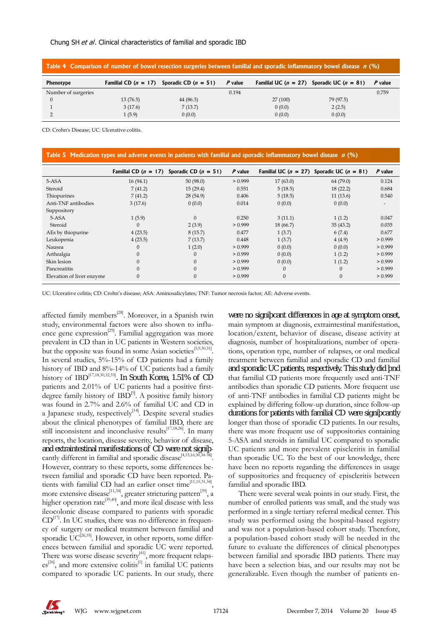#### Chung SH *et al*. Clinical characteristics of familial and sporadic IBD

| Table 4 Comparison of number of bowel resection surgeries between familial and sporadic inflammatory bowel disease $\pi$ (%) |          |                                                   |         |         |                                                   |         |  |  |
|------------------------------------------------------------------------------------------------------------------------------|----------|---------------------------------------------------|---------|---------|---------------------------------------------------|---------|--|--|
| <b>Phenotype</b>                                                                                                             |          | Familial CD ( $n = 17$ ) Sporadic CD ( $n = 51$ ) | P value |         | Familial UC ( $n = 27$ ) Sporadic UC ( $n = 81$ ) | P value |  |  |
| Number of surgeries                                                                                                          |          |                                                   | 0.194   |         |                                                   | 0.759   |  |  |
|                                                                                                                              | 13(76.5) | 44 (86.3)                                         |         | 27(100) | 79 (97.5)                                         |         |  |  |
|                                                                                                                              | 3(17.6)  | 7(13.7)                                           |         | 0(0.0)  | 2(2.5)                                            |         |  |  |
|                                                                                                                              | 1(5.9)   | 0(0.0)                                            |         | 0(0.0)  | 0(0.0)                                            |         |  |  |

CD: Crohn's Disease; UC: Ulcerative colitis.

|                           | Familial CD $(n = 17)$ | Sporadic CD $(n = 51)$ | $P$ value |              | Familial UC ( $n = 27$ ) Sporadic UC ( $n = 81$ ) | $P$ value                |
|---------------------------|------------------------|------------------------|-----------|--------------|---------------------------------------------------|--------------------------|
| 5-ASA                     | 16(94.1)               | 50(98.0)               | > 0.999   | 17(63.0)     | 64 (79.0)                                         | 0.124                    |
| Steroid                   | 7(41.2)                | 15(29.4)               | 0.551     | 5(18.5)      | 18(22.2)                                          | 0.684                    |
| Thiopurines               | 7(41.2)                | 28 (54.9)              | 0.406     | 5(18.5)      | 11(13.6)                                          | 0.540                    |
| Anti-TNF antibodies       | 3(17.6)                | 0(0.0)                 | 0.014     | 0(0.0)       | 0(0.0)                                            | $\overline{\phantom{a}}$ |
| Suppository               |                        |                        |           |              |                                                   |                          |
| 5-ASA                     | 1(5.9)                 | $\Omega$               | 0.250     | 3(11.1)      | 1(1.2)                                            | 0.047                    |
| Steroid                   | $\Omega$               | 2(3.9)                 | > 0.999   | 18(66.7)     | 35(43.2)                                          | 0.035                    |
| AEs by thiopurine         | 4(23.5)                | 8(15.7)                | 0.477     | 1(3.7)       | 6(7.4)                                            | 0.677                    |
| Leukopenia                | 4(23.5)                | 7(13.7)                | 0.448     | 1(3.7)       | 4(4.9)                                            | > 0.999                  |
| Nausea                    | $\theta$               | 1(2.0)                 | > 0.999   | 0(0.0)       | 0(0.0)                                            | > 0.999                  |
| Arthralgia                | $\mathbf{0}$           | $\mathbf{0}$           | > 0.999   | 0(0.0)       | 1(1.2)                                            | > 0.999                  |
| Skin lesion               | $\Omega$               | $\overline{0}$         | > 0.999   | 0(0.0)       | 1(1.2)                                            | > 0.999                  |
| Pancreatitis              | $\Omega$               | $\Omega$               | > 0.999   | $\Omega$     | $\Omega$                                          | > 0.999                  |
| Elevation of liver enzyme | $\mathbf{0}$           | $\mathbf{0}$           | > 0.999   | $\mathbf{0}$ | $\mathbf{0}$                                      | > 0.999                  |

UC: Ulcerative colitis; CD: Crohn's disease; ASA: Aminosalicylates; TNF: Tumor necrosis factor; AE: Adverse events.

affected family members<sup>[28]</sup>. Moreover, in a Spanish twin study, environmental factors were also shown to influence gene expression<sup>[29]</sup>. Familial aggregation was more prevalent in CD than in UC patients in Western societies, but the opposite was found in some Asian societies<sup>[5,9,30,31]</sup>. In several studies, 5%-15% of CD patients had a family history of IBD and 8%-14% of UC patients had a family history of IBD<sup>[17,18,30,32,33]</sup>. In South Korea, 1.51% of CD patients and 2.01% of UC patients had a positive firstdegree family history of  $IBD^{[5]}$ . A positive family history was found in 2.7% and 2.6% of familial UC and CD in a Japanese study, respectively $[14]$ . Despite several studies about the clinical phenotypes of familial IBD, there are still inconsistent and inconclusive results<sup>[17,18,26]</sup>. In many reports, the location, disease severity, behavior of disease, and extraintestinal manifestations of CD were not signifcantly different in familial and sporadic disease<sup>[4,15,16,30,34-38]</sup>. However, contrary to these reports, some differences between familial and sporadic CD have been reported. Patients with familial CD had an earlier onset time<sup>[11,15,31,34]</sup> more extensive disease<sup>[11,34]</sup>, greater stricturing pattern<sup>[39]</sup>, a higher operation rate<sup>[39,40]</sup>, and more ileal disease with less ileocolonic disease compared to patients with sporadic  $CD^{[17]}$ . In UC studies, there was no difference in frequency of surgery or medical treatment between familial and sporadic  $\text{UC}^{[26,35]}$ . However, in other reports, some differences between familial and sporadic UC were reported. There was worse disease severity $\begin{bmatrix} 41 \\ 41 \end{bmatrix}$ , more frequent relaps $es^{[26]}$ , and more extensive colitis<sup>[1]</sup> in familial UC patients compared to sporadic UC patients. In our study, there

were no significant differences in age at symptom onset, main symptom at diagnosis, extraintestinal manifestation, location/extent, behavior of disease, disease activity at diagnosis, number of hospitalizations, number of operations, operation type, number of relapses, or oral medical treatment between familial and sporadic CD and familial and sporadic UC patients, respectively. This study did find that familial CD patients more frequently used anti-TNF antibodies than sporadic CD patients. More frequent use of anti-TNF antibodies in familial CD patients might be explained by differing follow-up duration, since follow-up durations for patients with familial CD were significantly longer than those of sporadic CD patients. In our results, there was more frequent use of suppositories containing 5-ASA and steroids in familial UC compared to sporadic UC patients and more prevalent episcleritis in familial than sporadic UC. To the best of our knowledge, there have been no reports regarding the differences in usage of suppositories and frequency of episcleritis between familial and sporadic IBD.

There were several weak points in our study. First, the number of enrolled patients was small, and the study was performed in a single tertiary referral medical center. This study was performed using the hospital-based registry and was not a population-based cohort study. Therefore, a population-based cohort study will be needed in the future to evaluate the differences of clinical phenotypes between familial and sporadic IBD patients. There may have been a selection bias, and our results may not be generalizable. Even though the number of patients en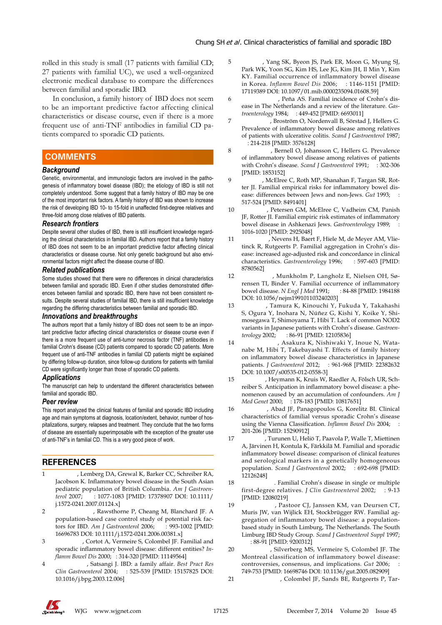rolled in this study is small (17 patients with familial CD; 27 patients with familial UC), we used a well-organized electronic medical database to compare the differences between familial and sporadic IBD.

In conclusion, a family history of IBD does not seem to be an important predictive factor affecting clinical characteristics or disease course, even if there is a more frequent use of anti-TNF antibodies in familial CD patients compared to sporadic CD patients.

## **COMMENTS COMMENTS**

#### *Background*

Genetic, environmental, and immunologic factors are involved in the pathogenesis of inflammatory bowel disease (IBD); the etiology of IBD is still not completely understood. Some suggest that a family history of IBD may be one of the most important risk factors. A family history of IBD was shown to increase the risk of developing IBD 10- to 15-fold in unaffected first-degree relatives and three-fold among close relatives of IBD patients.

#### *Research frontiers*

Despite several other studies of IBD, there is still insufficient knowledge regarding the clinical characteristics in familial IBD. Authors report that a family history of IBD does not seem to be an important predictive factor affecting clinical characteristics or disease course. Not only genetic background but also environmental factors might affect the disease course of IBD.

#### *Related publications*

Some studies showed that there were no differences in clinical characteristics between familial and sporadic IBD. Even if other studies demonstrated differences between familial and sporadic IBD, there have not been consistent results. Despite several studies of familial IBD, there is still insufficient knowledge regarding the differing characteristics between familial and sporadic IBD.

#### *Innovations and breakthroughs*

The authors report that a family history of IBD does not seem to be an important predictive factor affecting clinical characteristics or disease course even if there is a more frequent use of anti-tumor necrosis factor (TNF) antibodies in familial Crohn's disease (CD) patients compared to sporadic CD patients. More frequent use of anti-TNF antibodies in familial CD patients might be explained by differing follow-up duration, since follow-up durations for patients with familial CD were significantly longer than those of sporadic CD patients.

#### *Applications*

The manuscript can help to understand the different characteristics between familial and sporadic IBD.

#### *Peer review*

This report analyzed the clinical features of familial and sporadic IBD including age and main symptoms at diagnosis, location/extent, behavior, number of hospitalizations, surgery, relapses and treatment. They conclude that the two forms of disease are essentially superimposable with the exception of the greater use of anti-TNF's in familial CD. This is a very good piece of work.

## **REFERENCES**

- 1 **Pinsk V**, Lemberg DA, Grewal K, Barker CC, Schreiber RA, Jacobson K. Inflammatory bowel disease in the South Asian pediatric population of British Columbia. *Am J Gastroenterol* 2007; **102**: 1077-1083 [PMID: 17378907 DOI: 10.1111/ j.1572-0241.2007.01124.x]
- 2 **Bernstein CN**, Rawsthorne P, Cheang M, Blanchard JF. A population-based case control study of potential risk factors for IBD. *Am J Gastroenterol* 2006; **101**: 993-1002 [PMID: 16696783 DOI: 10.1111/j.1572-0241.2006.00381.x]
- 3 **Peeters M**, Cortot A, Vermeire S, Colombel JF. Familial and sporadic inflammatory bowel disease: different entities? *Inflamm Bowel Dis* 2000; **6**: 314-320 [PMID: 11149564]
- 4 **Russell RK**, Satsangi J. IBD: a family affair. *Best Pract Res Clin Gastroenterol* 2004; **18**: 525-539 [PMID: 15157825 DOI: 10.1016/j.bpg.2003.12.006]
- 5 **Park JB**, Yang SK, Byeon JS, Park ER, Moon G, Myung SJ, Park WK, Yoon SG, Kim HS, Lee JG, Kim JH, Il Min Y, Kim KY. Familial occurrence of inflammatory bowel disease in Korea. *Inflamm Bowel Dis* 2006; **12**: 1146-1151 [PMID: 17119389 DOI: 10.1097/01.mib.0000235094.01608.59]
- 6 **Weterman IT**, Peña AS. Familial incidence of Crohn's disease in The Netherlands and a review of the literature. *Gastroenterology* 1984; **86**: 449-452 [PMID: 6693011]
- 7 **Monsén U**, Broström O, Nordenvall B, Sörstad J, Hellers G. Prevalence of inflammatory bowel disease among relatives of patients with ulcerative colitis. *Scand J Gastroenterol* 1987; **22**: 214-218 [PMID: 3576128]
- 8 **Monsén U**, Bernell O, Johansson C, Hellers G. Prevalence of inflammatory bowel disease among relatives of patients with Crohn's disease. *Scand J Gastroenterol* 1991; **26**: 302-306 [PMID: 1853152]
- 9 **Yang H**, McElree C, Roth MP, Shanahan F, Targan SR, Rotter JI. Familial empirical risks for inflammatory bowel disease: differences between Jews and non-Jews. *Gut* 1993; **34**: 517-524 [PMID: 8491401]
- 10 **Roth MP**, Petersen GM, McElree C, Vadheim CM, Panish JF, Rotter JI. Familial empiric risk estimates of inflammatory bowel disease in Ashkenazi Jews. *Gastroenterology* 1989; **96**: 1016-1020 [PMID: 2925048]
- 11 **Peeters M**, Nevens H, Baert F, Hiele M, de Meyer AM, Vlietinck R, Rutgeerts P. Familial aggregation in Crohn's disease: increased age-adjusted risk and concordance in clinical characteristics. *Gastroenterology* 1996; **111**: 597-603 [PMID: 8780562]
- 12 **Orholm M**, Munkholm P, Langholz E, Nielsen OH, Sørensen TI, Binder V. Familial occurrence of inflammatory bowel disease. *N Engl J Med* 1991; **324**: 84-88 [PMID: 1984188 DOI: 10.1056/nejm199101103240203]
- 13 **Inoue N**, Tamura K, Kinouchi Y, Fukuda Y, Takahashi S, Ogura Y, Inohara N, Núñez G, Kishi Y, Koike Y, Shimosegawa T, Shimoyama T, Hibi T. Lack of common NOD2 variants in Japanese patients with Crohn's disease. *Gastroenterology* 2002; **123**: 86-91 [PMID: 12105836]
- 14 **Kuwahara E**, Asakura K, Nishiwaki Y, Inoue N, Watanabe M, Hibi T, Takebayashi T. Effects of family history on inflammatory bowel disease characteristics in Japanese patients. *J Gastroenterol* 2012; **47**: 961-968 [PMID: 22382632 DOI: 10.1007/s00535-012-0558-3]
- 15 **Hampe J**, Heymann K, Kruis W, Raedler A, Fölsch UR, Schreiber S. Anticipation in inflammatory bowel disease: a phenomenon caused by an accumulation of confounders. *Am J Med Genet* 2000; **92**: 178-183 [PMID: 10817651]
- 16 **Dorn SD**, Abad JF, Panagopoulos G, Korelitz BI. Clinical characteristics of familial versus sporadic Crohn's disease using the Vienna Classification. *Inflamm Bowel Dis* 2004; **10**: 201-206 [PMID: 15290912]
- 17 **Halme L**, Turunen U, Heliö T, Paavola P, Walle T, Miettinen A, Järvinen H, Kontula K, Färkkilä M. Familial and sporadic inflammatory bowel disease: comparison of clinical features and serological markers in a genetically homogeneous population. *Scand J Gastroenterol* 2002; **37**: 692-698 [PMID: 12126248]
- 18 **Freeman HJ**. Familial Crohn's disease in single or multiple first-degree relatives. *J Clin Gastroenterol* 2002; **35**: 9-13 [PMID: 12080219]
- 19 **Russel MG**, Pastoor CJ, Janssen KM, van Deursen CT, Muris JW, van Wijlick EH, Stockbrügger RW. Familial aggregation of inflammatory bowel disease: a populationbased study in South Limburg, The Netherlands. The South Limburg IBD Study Group. *Scand J Gastroenterol Suppl* 1997; **223**: 88-91 [PMID: 9200312]
- 20 **Satsangi J**, Silverberg MS, Vermeire S, Colombel JF. The Montreal classification of inflammatory bowel disease: controversies, consensus, and implications. *Gut* 2006; **55**: 749-753 [PMID: 16698746 DOI: 10.1136/gut.2005.082909]
- Sandborn WJ, Colombel JF, Sands BE, Rutgeerts P, Tar-